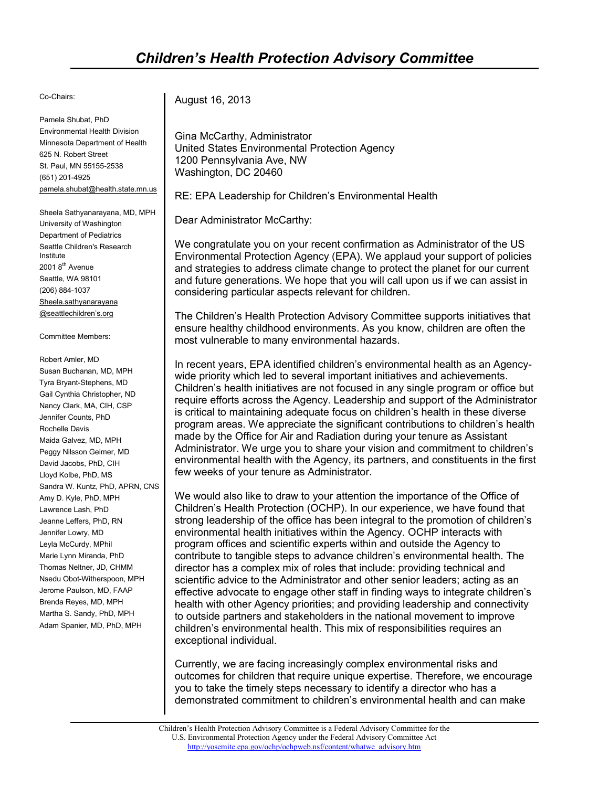## Co-Chairs:

Pamela Shubat, PhD Environmental Health Division Minnesota Department of Health 625 N. Robert Street St. Paul, MN 55155-2538 (651) 201-4925 pamela.shubat@health.state.mn.us

Sheela Sathyanarayana, MD, MPH University of Washington Department of Pediatrics Seattle Children's Research Institute 2001 8<sup>th</sup> Avenue Seattle, WA 98101 (206) 884-1037 Sheela.sathyanarayana @seattlechildren's.org

## Committee Members:

Robert Amler, MD Susan Buchanan, MD, MPH Tyra Bryant-Stephens, MD Gail Cynthia Christopher, ND Nancy Clark, MA, CIH, CSP Jennifer Counts, PhD Rochelle Davis Maida Galvez, MD, MPH Peggy Nilsson Geimer, MD David Jacobs, PhD, CIH Lloyd Kolbe, PhD, MS Sandra W. Kuntz, PhD, APRN, CNS Amy D. Kyle, PhD, MPH Lawrence Lash, PhD Jeanne Leffers, PhD, RN Jennifer Lowry, MD Leyla McCurdy, MPhil Marie Lynn Miranda, PhD Thomas Neltner, JD, CHMM Nsedu Obot-Witherspoon, MPH Jerome Paulson, MD, FAAP Brenda Reyes, MD, MPH Martha S. Sandy, PhD, MPH Adam Spanier, MD, PhD, MPH

August 16, 2013

Gina McCarthy, Administrator United States Environmental Protection Agency 1200 Pennsylvania Ave, NW Washington, DC 20460

RE: EPA Leadership for Children's Environmental Health

Dear Administrator McCarthy:

We congratulate you on your recent confirmation as Administrator of the US Environmental Protection Agency (EPA). We applaud your support of policies and strategies to address climate change to protect the planet for our current and future generations. We hope that you will call upon us if we can assist in considering particular aspects relevant for children.

The Children's Health Protection Advisory Committee supports initiatives that ensure healthy childhood environments. As you know, children are often the most vulnerable to many environmental hazards.

In recent years, EPA identified children's environmental health as an Agencywide priority which led to several important initiatives and achievements. Children's health initiatives are not focused in any single program or office but require efforts across the Agency. Leadership and support of the Administrator is critical to maintaining adequate focus on children's health in these diverse program areas. We appreciate the significant contributions to children's health made by the Office for Air and Radiation during your tenure as Assistant Administrator. We urge you to share your vision and commitment to children's environmental health with the Agency, its partners, and constituents in the first few weeks of your tenure as Administrator.

We would also like to draw to your attention the importance of the Office of Children's Health Protection (OCHP). In our experience, we have found that strong leadership of the office has been integral to the promotion of children's environmental health initiatives within the Agency. OCHP interacts with program offices and scientific experts within and outside the Agency to contribute to tangible steps to advance children's environmental health. The director has a complex mix of roles that include: providing technical and scientific advice to the Administrator and other senior leaders; acting as an effective advocate to engage other staff in finding ways to integrate children's health with other Agency priorities; and providing leadership and connectivity to outside partners and stakeholders in the national movement to improve children's environmental health. This mix of responsibilities requires an exceptional individual.

Currently, we are facing increasingly complex environmental risks and outcomes for children that require unique expertise. Therefore, we encourage you to take the timely steps necessary to identify a director who has a demonstrated commitment to children's environmental health and can make

Children's Health Protection Advisory Committee is a Federal Advisory Committee for the U.S. Environmental Protection Agency under the Federal Advisory Committee Act http://yosemite.epa.gov/ochp/ochpweb.nsf/content/whatwe\_advisory.htm